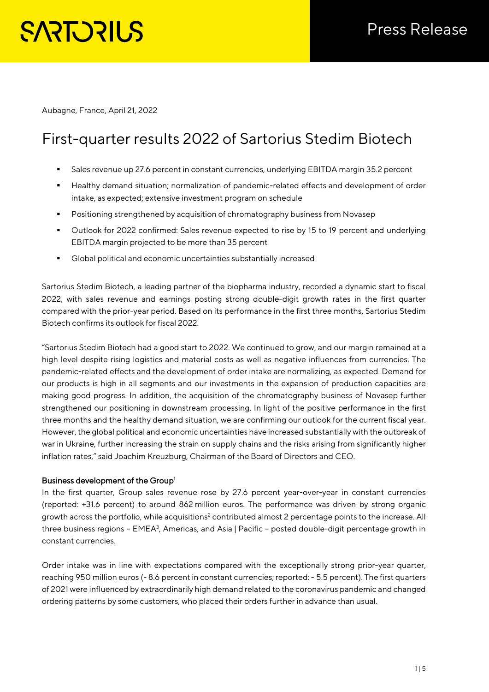Aubagne, France, April 21, 2022

# First-quarter results 2022 of Sartorius Stedim Biotech

- Sales revenue up 27.6 percent in constant currencies, underlying EBITDA margin 35.2 percent
- Healthy demand situation; normalization of pandemic-related effects and development of order intake, as expected; extensive investment program on schedule
- **Positioning strengthened by acquisition of chromatography business from Novasep**
- Outlook for 2022 confirmed: Sales revenue expected to rise by 15 to 19 percent and underlying EBITDA margin projected to be more than 35 percent
- Global political and economic uncertainties substantially increased

Sartorius Stedim Biotech, a leading partner of the biopharma industry, recorded a dynamic start to fiscal 2022, with sales revenue and earnings posting strong double-digit growth rates in the first quarter compared with the prior-year period. Based on its performance in the first three months, Sartorius Stedim Biotech confirms its outlook for fiscal 2022.

"Sartorius Stedim Biotech had a good start to 2022. We continued to grow, and our margin remained at a high level despite rising logistics and material costs as well as negative influences from currencies. The pandemic-related effects and the development of order intake are normalizing, as expected. Demand for our products is high in all segments and our investments in the expansion of production capacities are making good progress. In addition, the acquisition of the chromatography business of Novasep further strengthened our positioning in downstream processing. In light of the positive performance in the first three months and the healthy demand situation, we are confirming our outlook for the current fiscal year. However, the global political and economic uncertainties have increased substantially with the outbreak of war in Ukraine, further increasing the strain on supply chains and the risks arising from significantly higher inflation rates," said Joachim Kreuzburg, Chairman of the Board of Directors and CEO.

### Business development of the Group<sup>1</sup>

In the first quarter, Group sales revenue rose by 27.6 percent year-over-year in constant currencies (reported: +31.6 percent) to around 862 million euros. The performance was driven by strong organic growth across the portfolio, while acquisitions<sup>2</sup> contributed almost 2 percentage points to the increase. All three business regions - EMEA<sup>3</sup>, Americas, and Asia | Pacific - posted double-digit percentage growth in constant currencies.

Order intake was in line with expectations compared with the exceptionally strong prior-year quarter, reaching 950 million euros (- 8.6 percent in constant currencies; reported: - 5.5 percent). The first quarters of 2021 were influenced by extraordinarily high demand related to the coronavirus pandemic and changed ordering patterns by some customers, who placed their orders further in advance than usual.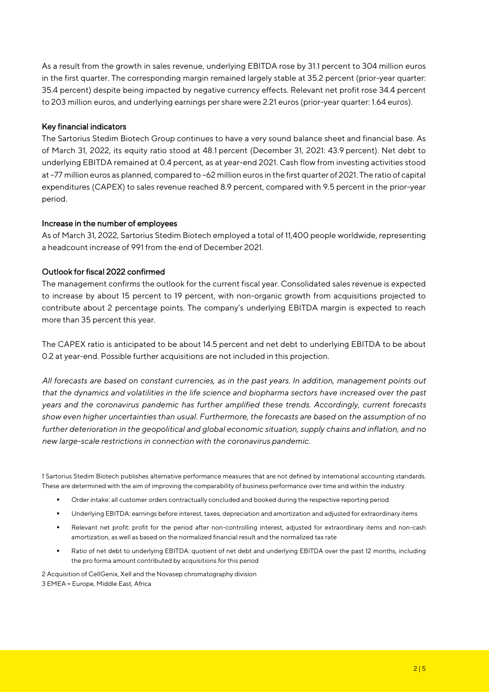As a result from the growth in sales revenue, underlying EBITDA rose by 31.1 percent to 304 million euros in the first quarter. The corresponding margin remained largely stable at 35.2 percent (prior-year quarter: 35.4 percent) despite being impacted by negative currency effects. Relevant net profit rose 34.4 percent to 203 million euros, and underlying earnings per share were 2.21 euros (prior-year quarter: 1.64 euros).

## Key financial indicators

The Sartorius Stedim Biotech Group continues to have a very sound balance sheet and financial base. As of March 31, 2022, its equity ratio stood at 48.1 percent (December 31, 2021: 43.9 percent). Net debt to underlying EBITDA remained at 0.4 percent, as at year-end 2021. Cash flow from investing activities stood at –77 million euros as planned, compared to –62 million euros in the first quarter of 2021. The ratio of capital expenditures (CAPEX) to sales revenue reached 8.9 percent, compared with 9.5 percent in the prior-year period.

### Increase in the number of employees

As of March 31, 2022, Sartorius Stedim Biotech employed a total of 11,400 people worldwide, representing a headcount increase of 991 from the end of December 2021.

## Outlook for fiscal 2022 confirmed

The management confirms the outlook for the current fiscal year. Consolidated sales revenue is expected to increase by about 15 percent to 19 percent, with non-organic growth from acquisitions projected to contribute about 2 percentage points. The company's underlying EBITDA margin is expected to reach more than 35 percent this year.

The CAPEX ratio is anticipated to be about 14.5 percent and net debt to underlying EBITDA to be about 0.2 at year-end. Possible further acquisitions are not included in this projection.

*All forecasts are based on constant currencies, as in the past years. In addition, management points out that the dynamics and volatilities in the life science and biopharma sectors have increased over the past years and the coronavirus pandemic has further amplified these trends. Accordingly, current forecasts show even higher uncertainties than usual. Furthermore, the forecasts are based on the assumption of no further deterioration in the geopolitical and global economic situation, supply chains and inflation, and no new large-scale restrictions in connection with the coronavirus pandemic.* 

1 Sartorius Stedim Biotech publishes alternative performance measures that are not defined by international accounting standards. These are determined with the aim of improving the comparability of business performance over time and within the industry.

- Order intake: all customer orders contractually concluded and booked during the respective reporting period
- Underlying EBITDA: earnings before interest, taxes, depreciation and amortization and adjusted for extraordinary items
- Relevant net profit: profit for the period after non-controlling interest, adjusted for extraordinary items and non-cash amortization, as well as based on the normalized financial result and the normalized tax rate
- Ratio of net debt to underlying EBITDA: quotient of net debt and underlying EBITDA over the past 12 months, including the pro forma amount contributed by acquisitions for this period

2 Acquisition of CellGenix, Xell and the Novasep chromatography division 3 EMEA = Europe, Middle East, Africa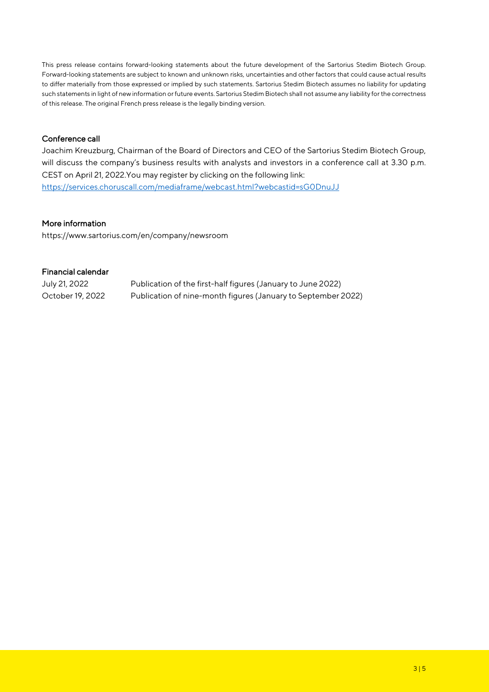This press release contains forward-looking statements about the future development of the Sartorius Stedim Biotech Group. Forward-looking statements are subject to known and unknown risks, uncertainties and other factors that could cause actual results to differ materially from those expressed or implied by such statements. Sartorius Stedim Biotech assumes no liability for updating such statements in light of new information or future events. Sartorius Stedim Biotech shall not assume any liability for the correctness of this release. The original French press release is the legally binding version.

## Conference call

Joachim Kreuzburg, Chairman of the Board of Directors and CEO of the Sartorius Stedim Biotech Group, will discuss the company's business results with analysts and investors in a conference call at 3.30 p.m. CEST on April 21, 2022.You may register by clicking on the following link: [https://services.choruscall.com/mediaframe/webcast.html?webcastid=sG0DnuJJ](https://eur02.safelinks.protection.outlook.com/?url=https%3A%2F%2Fservices.choruscall.com%2Fmediaframe%2Fwebcast.html%3Fwebcastid%3DsG0DnuJJ&data=04%7C01%7CTimo.Lindemann%40Sartorius.com%7Ceac358db39cc4503313308da1e00647c%7C8c7a02b0b4094a1483326772575f453b%7C0%7C0%7C637855285206857557%7CUnknown%7CTWFpbGZsb3d8eyJWIjoiMC4wLjAwMDAiLCJQIjoiV2luMzIiLCJBTiI6Ik1haWwiLCJXVCI6Mn0%3D%7C3000&sdata=PK%2FkcPh05GAIw2o2vR7MSuuzMR1FV1Lh6%2BeIFcgx594%3D&reserved=0)

### More information

https://www.sartorius.com/en/company/newsroom

### Financial calendar

July 21, 2022 Publication of the first-half figures (January to June 2022) October 19, 2022 Publication of nine-month figures (January to September 2022)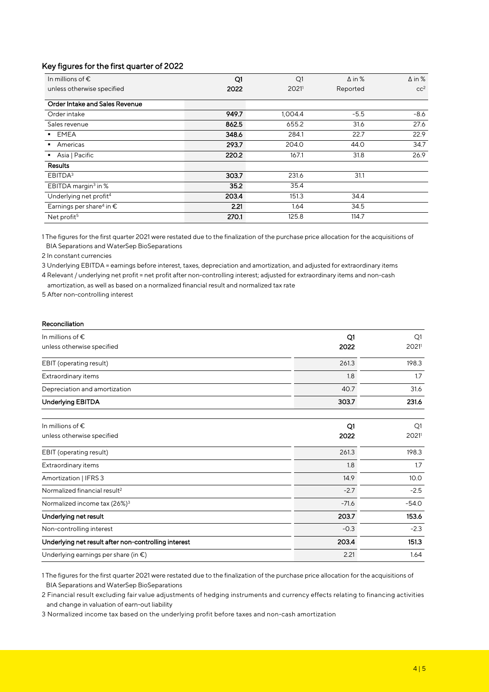## Key figures for the first quarter of 2022

| In millions of $\epsilon$                     | Q1    | Q1                | $\Delta$ in % | $\Delta$ in %   |
|-----------------------------------------------|-------|-------------------|---------------|-----------------|
| unless otherwise specified                    | 2022  | 2021 <sup>1</sup> | Reported      | cc <sup>2</sup> |
| Order Intake and Sales Revenue                |       |                   |               |                 |
| Order intake                                  | 949.7 | 1,004.4           | $-5.5$        | $-8.6$          |
| Sales revenue                                 | 862.5 | 655.2             | 31.6          | 27.6            |
| <b>EMEA</b>                                   | 348.6 | 284.1             | 22.7          | 22.9            |
| Americas                                      | 293.7 | 204.0             | 44.0          | 34.7            |
| Asia   Pacific                                | 220.2 | 167.1             | 31.8          | 26.9            |
| <b>Results</b>                                |       |                   |               |                 |
| EBITDA <sup>3</sup>                           | 303.7 | 231.6             | 31.1          |                 |
| EBITDA margin <sup>3</sup> in %               | 35.2  | 35.4              |               |                 |
| Underlying net profit <sup>4</sup>            | 203.4 | 151.3             | 34.4          |                 |
| Earnings per share <sup>4</sup> in $\epsilon$ | 2.21  | 1.64              | 34.5          |                 |
| Net profit <sup>5</sup>                       | 270.1 | 125.8             | 114.7         |                 |

1 The figures for the first quarter 2021 were restated due to the finalization of the purchase price allocation for the acquisitions of BIA Separations and WaterSep BioSeparations

2 In constant currencies

3 Underlying EBITDA = earnings before interest, taxes, depreciation and amortization, and adjusted for extraordinary items

4 Relevant / underlying net profit = net profit after non-controlling interest; adjusted for extraordinary items and non-cash

amortization, as well as based on a normalized financial result and normalized tax rate

5 After non-controlling interest

### Reconciliation

| In millions of $\epsilon$<br>unless otherwise specified | Q1<br>2022 | Q1<br>2021 |
|---------------------------------------------------------|------------|------------|
| EBIT (operating result)                                 | 261.3      | 198.3      |
| Extraordinary items                                     | 1.8        | 1.7        |
| Depreciation and amortization                           | 40.7       | 31.6       |
| <b>Underlying EBITDA</b>                                | 303.7      | 231.6      |

| In millions of $\epsilon$                            | Q1      | Q1      |
|------------------------------------------------------|---------|---------|
| unless otherwise specified                           | 2022    | 2021    |
| EBIT (operating result)                              | 261.3   | 198.3   |
| Extraordinary items                                  | 1.8     | 1.7     |
| Amortization   IFRS 3                                | 14.9    | 10.0    |
| Normalized financial result <sup>2</sup>             | $-2.7$  | $-2.5$  |
| Normalized income tax (26%) <sup>3</sup>             | $-71.6$ | $-54.0$ |
| Underlying net result                                | 203.7   | 153.6   |
| Non-controlling interest                             | $-0.3$  | $-2.3$  |
| Underlying net result after non-controlling interest | 203.4   | 151.3   |
| Underlying earnings per share (in $\epsilon$ )       | 2.21    | 1.64    |

1 The figures for the first quarter 2021 were restated due to the finalization of the purchase price allocation for the acquisitions of BIA Separations and WaterSep BioSeparations

2 Financial result excluding fair value adjustments of hedging instruments and currency effects relating to financing activities and change in valuation of earn-out liability

3 Normalized income tax based on the underlying profit before taxes and non-cash amortization